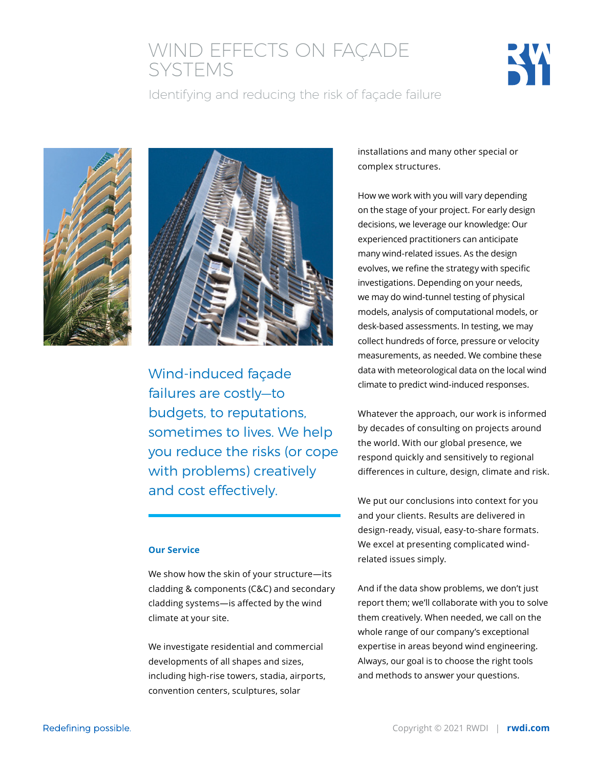## WIND EFFECTS ON FAÇADE SYSTEMS



Identifying and reducing the risk of façade failure





Wind-induced façade failures are costly—to budgets, to reputations, sometimes to lives. We help you reduce the risks (or cope with problems) creatively and cost effectively.

#### **Our Service**

We show how the skin of your structure—its cladding & components (C&C) and secondary cladding systems—is affected by the wind climate at your site.

We investigate residential and commercial developments of all shapes and sizes, including high-rise towers, stadia, airports, convention centers, sculptures, solar

installations and many other special or complex structures.

How we work with you will vary depending on the stage of your project. For early design decisions, we leverage our knowledge: Our experienced practitioners can anticipate many wind-related issues. As the design evolves, we refine the strategy with specific investigations. Depending on your needs, we may do wind-tunnel testing of physical models, analysis of computational models, or desk-based assessments. In testing, we may collect hundreds of force, pressure or velocity measurements, as needed. We combine these data with meteorological data on the local wind climate to predict wind-induced responses.

Whatever the approach, our work is informed by decades of consulting on projects around the world. With our global presence, we respond quickly and sensitively to regional differences in culture, design, climate and risk.

We put our conclusions into context for you and your clients. Results are delivered in design-ready, visual, easy-to-share formats. We excel at presenting complicated windrelated issues simply.

And if the data show problems, we don't just report them; we'll collaborate with you to solve them creatively. When needed, we call on the whole range of our company's exceptional expertise in areas beyond wind engineering. Always, our goal is to choose the right tools and methods to answer your questions.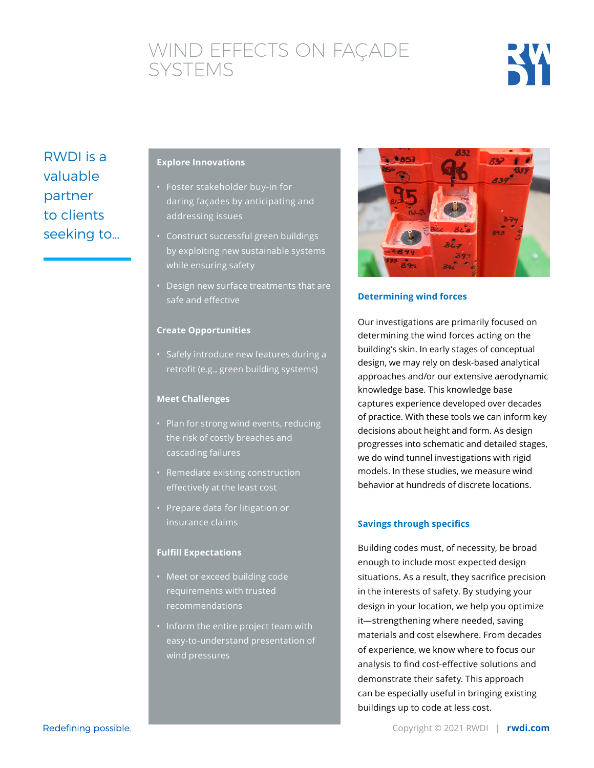# WIND EFFECTS ON FAÇADE SYSTEMS



RWDI is a valuable partner to clients seeking to…

### **Explore Innovations**

- Foster stakeholder buy-in for daring façades by anticipating and addressing issues
- Construct successful green buildings by exploiting new sustainable systems while ensuring safety
- Design new surface treatments that are safe and effective

#### **Create Opportunities**

• Safely introduce new features during a retrofit (e.g., green building systems)

#### **Meet Challenges**

- Plan for strong wind events, reducing the risk of costly breaches and cascading failures
- Remediate existing construction effectively at the least cost
- Prepare data for litigation or insurance claims

#### **Fulfill Expectations**

- Meet or exceed building code requirements with trusted recommendations
- Inform the entire project team with easy-to-understand presentation of wind pressures



### **Determining wind forces**

Our investigations are primarily focused on determining the wind forces acting on the building's skin. In early stages of conceptual design, we may rely on desk-based analytical approaches and/or our extensive aerodynamic knowledge base. This knowledge base captures experience developed over decades of practice. With these tools we can inform key decisions about height and form. As design progresses into schematic and detailed stages, we do wind tunnel investigations with rigid models. In these studies, we measure wind behavior at hundreds of discrete locations.

#### **Savings through specifics**

Building codes must, of necessity, be broad enough to include most expected design situations. As a result, they sacrifice precision in the interests of safety. By studying your design in your location, we help you optimize it—strengthening where needed, saving materials and cost elsewhere. From decades of experience, we know where to focus our analysis to find cost-effective solutions and demonstrate their safety. This approach can be especially useful in bringing existing buildings up to code at less cost.